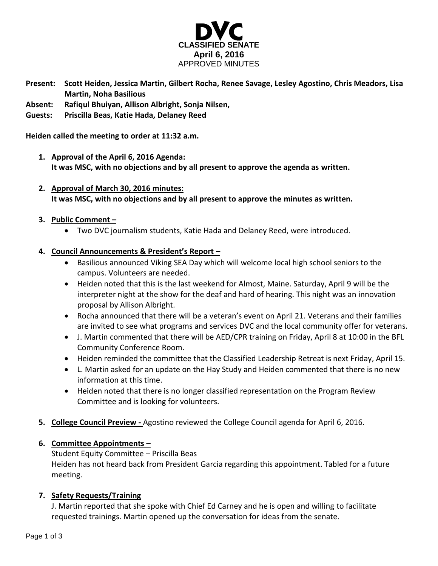

- **Present: Scott Heiden, Jessica Martin, Gilbert Rocha, Renee Savage, Lesley Agostino, Chris Meadors, Lisa Martin, Noha Basilious**
- **Absent: Rafiqul Bhuiyan, Allison Albright, Sonja Nilsen,**
- **Guests: Priscilla Beas, Katie Hada, Delaney Reed**

**Heiden called the meeting to order at 11:32 a.m.**

- **1. Approval of the April 6, 2016 Agenda: It was MSC, with no objections and by all present to approve the agenda as written.**
- **2. Approval of March 30, 2016 minutes: It was MSC, with no objections and by all present to approve the minutes as written.**

## **3. Public Comment –**

Two DVC journalism students, Katie Hada and Delaney Reed, were introduced.

## **4. Council Announcements & President's Report –**

- Basilious announced Viking SEA Day which will welcome local high school seniors to the campus. Volunteers are needed.
- Heiden noted that this is the last weekend for Almost, Maine. Saturday, April 9 will be the interpreter night at the show for the deaf and hard of hearing. This night was an innovation proposal by Allison Albright.
- Rocha announced that there will be a veteran's event on April 21. Veterans and their families are invited to see what programs and services DVC and the local community offer for veterans.
- J. Martin commented that there will be AED/CPR training on Friday, April 8 at 10:00 in the BFL Community Conference Room.
- Heiden reminded the committee that the Classified Leadership Retreat is next Friday, April 15.
- L. Martin asked for an update on the Hay Study and Heiden commented that there is no new information at this time.
- Heiden noted that there is no longer classified representation on the Program Review Committee and is looking for volunteers.
- **5. College Council Preview -** Agostino reviewed the College Council agenda for April 6, 2016.

### **6. Committee Appointments –**

Student Equity Committee – Priscilla Beas Heiden has not heard back from President Garcia regarding this appointment. Tabled for a future meeting.

# **7. Safety Requests/Training**

J. Martin reported that she spoke with Chief Ed Carney and he is open and willing to facilitate requested trainings. Martin opened up the conversation for ideas from the senate.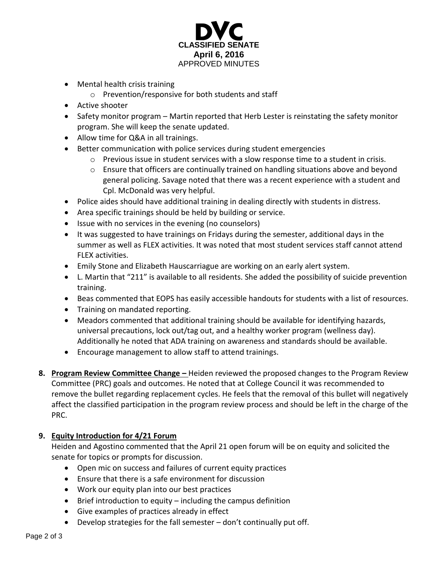

- Mental health crisis training
	- o Prevention/responsive for both students and staff
- Active shooter
- Safety monitor program Martin reported that Herb Lester is reinstating the safety monitor program. She will keep the senate updated.
- Allow time for Q&A in all trainings.
- Better communication with police services during student emergencies
	- $\circ$  Previous issue in student services with a slow response time to a student in crisis.
	- $\circ$  Ensure that officers are continually trained on handling situations above and beyond general policing. Savage noted that there was a recent experience with a student and Cpl. McDonald was very helpful.
- Police aides should have additional training in dealing directly with students in distress.
- Area specific trainings should be held by building or service.
- Issue with no services in the evening (no counselors)
- It was suggested to have trainings on Fridays during the semester, additional days in the summer as well as FLEX activities. It was noted that most student services staff cannot attend FLEX activities.
- Emily Stone and Elizabeth Hauscarriague are working on an early alert system.
- L. Martin that "211" is available to all residents. She added the possibility of suicide prevention training.
- Beas commented that EOPS has easily accessible handouts for students with a list of resources.
- Training on mandated reporting.
- Meadors commented that additional training should be available for identifying hazards, universal precautions, lock out/tag out, and a healthy worker program (wellness day). Additionally he noted that ADA training on awareness and standards should be available.
- Encourage management to allow staff to attend trainings.
- **8. Program Review Committee Change –** Heiden reviewed the proposed changes to the Program Review Committee (PRC) goals and outcomes. He noted that at College Council it was recommended to remove the bullet regarding replacement cycles. He feels that the removal of this bullet will negatively affect the classified participation in the program review process and should be left in the charge of the PRC.

# **9. Equity Introduction for 4/21 Forum**

Heiden and Agostino commented that the April 21 open forum will be on equity and solicited the senate for topics or prompts for discussion.

- Open mic on success and failures of current equity practices
- Ensure that there is a safe environment for discussion
- Work our equity plan into our best practices
- $\bullet$  Brief introduction to equity including the campus definition
- Give examples of practices already in effect
- Develop strategies for the fall semester don't continually put off.